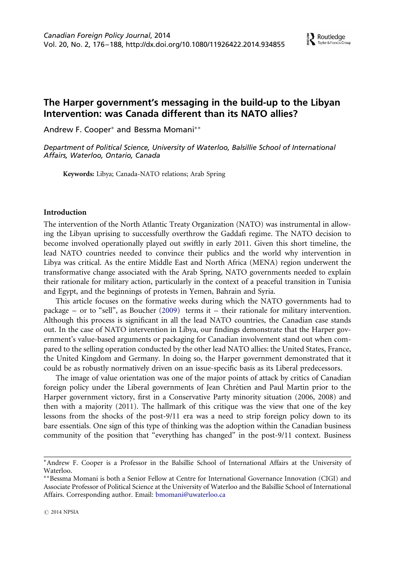# The Harper government's messaging in the build-up to the Libyan Intervention: was Canada different than its NATO allies?

Andrew F. Cooper<sup>∗</sup> and Bessma Momani∗∗

Department of Political Science, University of Waterloo, Balsillie School of International Affairs, Waterloo, Ontario, Canada

Keywords: Libya; Canada-NATO relations; Arab Spring

## Introduction

The intervention of the North Atlantic Treaty Organization (NATO) was instrumental in allowing the Libyan uprising to successfully overthrow the Gaddafi regime. The NATO decision to become involved operationally played out swiftly in early 2011. Given this short timeline, the lead NATO countries needed to convince their publics and the world why intervention in Libya was critical. As the entire Middle East and North Africa (MENA) region underwent the transformative change associated with the Arab Spring, NATO governments needed to explain their rationale for military action, particularly in the context of a peaceful transition in Tunisia and Egypt, and the beginnings of protests in Yemen, Bahrain and Syria.

This article focuses on the formative weeks during which the NATO governments had to package – or to "sell", as Boucher [\(2009](#page-10-0)) terms it – their rationale for military intervention. Although this process is significant in all the lead NATO countries, the Canadian case stands out. In the case of NATO intervention in Libya, our findings demonstrate that the Harper government's value-based arguments or packaging for Canadian involvement stand out when compared to the selling operation conducted by the other lead NATO allies: the United States, France, the United Kingdom and Germany. In doing so, the Harper government demonstrated that it could be as robustly normatively driven on an issue-specific basis as its Liberal predecessors.

The image of value orientation was one of the major points of attack by critics of Canadian foreign policy under the Liberal governments of Jean Chrétien and Paul Martin prior to the Harper government victory, first in a Conservative Party minority situation (2006, 2008) and then with a majority (2011). The hallmark of this critique was the view that one of the key lessons from the shocks of the post-9/11 era was a need to strip foreign policy down to its bare essentials. One sign of this type of thinking was the adoption within the Canadian business community of the position that "everything has changed" in the post-9/11 context. Business

<sup>∗</sup>Andrew F. Cooper is a Professor in the Balsillie School of International Affairs at the University of Waterloo.

<sup>∗∗</sup>Bessma Momani is both a Senior Fellow at Centre for International Governance Innovation (CIGI) and Associate Professor of Political Science at the University of Waterloo and the Balsillie School of International Affairs. Corresponding author. Email: [bmomani@uwaterloo.ca](mailto:bmomani@uwaterloo.ca)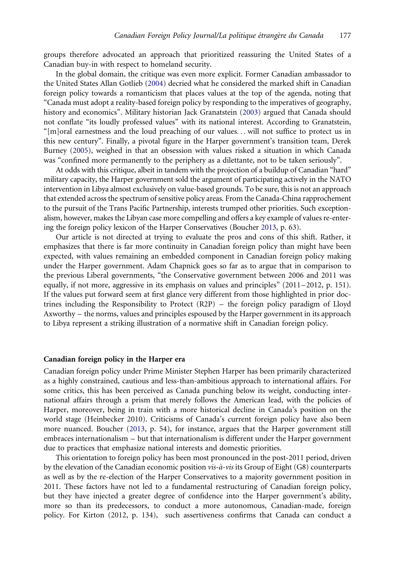groups therefore advocated an approach that prioritized reassuring the United States of a Canadian buy-in with respect to homeland security.

In the global domain, the critique was even more explicit. Former Canadian ambassador to the United States Allan Gotlieb ([2004\)](#page-11-0) decried what he considered the marked shift in Canadian foreign policy towards a romanticism that places values at the top of the agenda, noting that "Canada must adopt a reality-based foreign policy by responding to the imperatives of geography, history and economics". Military historian Jack Granatstein [\(2003](#page-11-0)) argued that Canada should not conflate "its loudly professed values" with its national interest. According to Granatstein, "[m]oral earnestness and the loud preaching of our values... will not suffice to protect us in this new century". Finally, a pivotal figure in the Harper government's transition team, Derek Burney ([2005](#page-10-0)), weighed in that an obsession with values risked a situation in which Canada was "confined more permanently to the periphery as a dilettante, not to be taken seriously".

At odds with this critique, albeit in tandem with the projection of a buildup of Canadian "hard" military capacity, the Harper government sold the argument of participating actively in the NATO intervention in Libya almost exclusively on value-based grounds. To be sure, this is not an approach that extended across the spectrum of sensitive policy areas. From the Canada-China rapprochement to the pursuit of the Trans Pacific Partnership, interests trumped other priorities. Such exceptionalism, however, makes the Libyan case more compelling and offers a key example of values re-entering the foreign policy lexicon of the Harper Conservatives (Boucher [2013](#page-10-0), p. 63).

Our article is not directed at trying to evaluate the pros and cons of this shift. Rather, it emphasizes that there is far more continuity in Canadian foreign policy than might have been expected, with values remaining an embedded component in Canadian foreign policy making under the Harper government. Adam Chapnick goes so far as to argue that in comparison to the previous Liberal governments, "the Conservative government between 2006 and 2011 was equally, if not more, aggressive in its emphasis on values and principles" (2011–2012, p. 151). If the values put forward seem at first glance very different from those highlighted in prior doctrines including the Responsibility to Protect (R2P) – the foreign policy paradigm of Lloyd Axworthy – the norms, values and principles espoused by the Harper government in its approach to Libya represent a striking illustration of a normative shift in Canadian foreign policy.

#### Canadian foreign policy in the Harper era

Canadian foreign policy under Prime Minister Stephen Harper has been primarily characterized as a highly constrained, cautious and less-than-ambitious approach to international affairs. For some critics, this has been perceived as Canada punching below its weight, conducting international affairs through a prism that merely follows the American lead, with the policies of Harper, moreover, being in train with a more historical decline in Canada's position on the world stage (Heinbecker 2010). Criticisms of Canada's current foreign policy have also been more nuanced. Boucher ([2013,](#page-10-0) p. 54), for instance, argues that the Harper government still embraces internationalism – but that internationalism is different under the Harper government due to practices that emphasize national interests and domestic priorities.

This orientation to foreign policy has been most pronounced in the post-2011 period, driven by the elevation of the Canadian economic position  $vis-\dot{a}-vis$  its Group of Eight (G8) counterparts as well as by the re-election of the Harper Conservatives to a majority government position in 2011. These factors have not led to a fundamental restructuring of Canadian foreign policy, but they have injected a greater degree of confidence into the Harper government's ability, more so than its predecessors, to conduct a more autonomous, Canadian-made, foreign policy. For Kirton (2012, p. 134), such assertiveness confirms that Canada can conduct a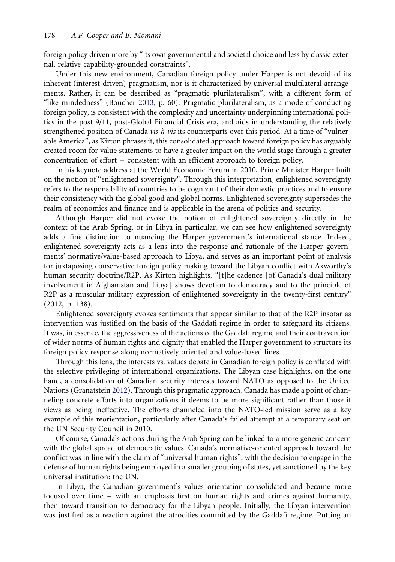foreign policy driven more by "its own governmental and societal choice and less by classic external, relative capability-grounded constraints".

Under this new environment, Canadian foreign policy under Harper is not devoid of its inherent (interest-driven) pragmatism, nor is it characterized by universal multilateral arrangements. Rather, it can be described as "pragmatic plurilateralism", with a different form of "like-mindedness" (Boucher [2013](#page-10-0), p. 60). Pragmatic plurilateralism, as a mode of conducting foreign policy, is consistent with the complexity and uncertainty underpinning international politics in the post 9/11, post-Global Financial Crisis era, and aids in understanding the relatively strengthened position of Canada vis-à-vis its counterparts over this period. At a time of "vulnerable America", as Kirton phrases it, this consolidated approach toward foreign policy has arguably created room for value statements to have a greater impact on the world stage through a greater concentration of effort – consistent with an efficient approach to foreign policy.

In his keynote address at the World Economic Forum in 2010, Prime Minister Harper built on the notion of "enlightened sovereignty". Through this interpretation, enlightened sovereignty refers to the responsibility of countries to be cognizant of their domestic practices and to ensure their consistency with the global good and global norms. Enlightened sovereignty supersedes the realm of economics and finance and is applicable in the arena of politics and security.

Although Harper did not evoke the notion of enlightened sovereignty directly in the context of the Arab Spring, or in Libya in particular, we can see how enlightened sovereignty adds a fine distinction to nuancing the Harper government's international stance. Indeed, enlightened sovereignty acts as a lens into the response and rationale of the Harper governments' normative/value-based approach to Libya, and serves as an important point of analysis for juxtaposing conservative foreign policy making toward the Libyan conflict with Axworthy's human security doctrine/R2P. As Kirton highlights, "[t]he cadence [of Canada's dual military involvement in Afghanistan and Libya] shows devotion to democracy and to the principle of R2P as a muscular military expression of enlightened sovereignty in the twenty-first century" (2012, p. 138).

Enlightened sovereignty evokes sentiments that appear similar to that of the R2P insofar as intervention was justified on the basis of the Gaddafi regime in order to safeguard its citizens. It was, in essence, the aggressiveness of the actions of the Gaddafi regime and their contravention of wider norms of human rights and dignity that enabled the Harper government to structure its foreign policy response along normatively oriented and value-based lines.

Through this lens, the interests vs. values debate in Canadian foreign policy is conflated with the selective privileging of international organizations. The Libyan case highlights, on the one hand, a consolidation of Canadian security interests toward NATO as opposed to the United Nations (Granatstein [2012](#page-11-0)). Through this pragmatic approach, Canada has made a point of channeling concrete efforts into organizations it deems to be more significant rather than those it views as being ineffective. The efforts channeled into the NATO-led mission serve as a key example of this reorientation, particularly after Canada's failed attempt at a temporary seat on the UN Security Council in 2010.

Of course, Canada's actions during the Arab Spring can be linked to a more generic concern with the global spread of democratic values. Canada's normative-oriented approach toward the conflict was in line with the claim of "universal human rights", with the decision to engage in the defense of human rights being employed in a smaller grouping of states, yet sanctioned by the key universal institution: the UN.

In Libya, the Canadian government's values orientation consolidated and became more focused over time – with an emphasis first on human rights and crimes against humanity, then toward transition to democracy for the Libyan people. Initially, the Libyan intervention was justified as a reaction against the atrocities committed by the Gaddafi regime. Putting an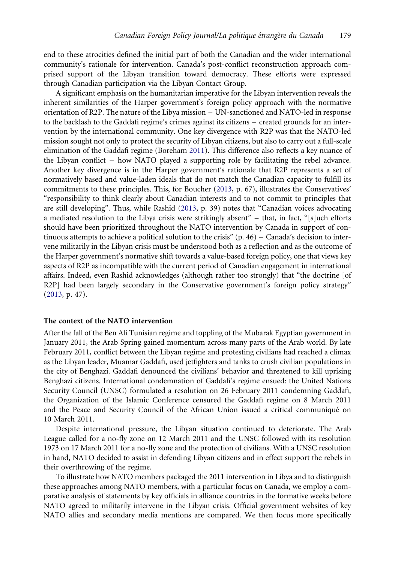end to these atrocities defined the initial part of both the Canadian and the wider international community's rationale for intervention. Canada's post-conflict reconstruction approach comprised support of the Libyan transition toward democracy. These efforts were expressed through Canadian participation via the Libyan Contact Group.

A significant emphasis on the humanitarian imperative for the Libyan intervention reveals the inherent similarities of the Harper government's foreign policy approach with the normative orientation of R2P. The nature of the Libya mission – UN-sanctioned and NATO-led in response to the backlash to the Gaddafi regime's crimes against its citizens – created grounds for an intervention by the international community. One key divergence with R2P was that the NATO-led mission sought not only to protect the security of Libyan citizens, but also to carry out a full-scale elimination of the Gaddafi regime (Boreham [2011\)](#page-10-0). This difference also reflects a key nuance of the Libyan conflict – how NATO played a supporting role by facilitating the rebel advance. Another key divergence is in the Harper government's rationale that R2P represents a set of normatively based and value-laden ideals that do not match the Canadian capacity to fulfill its commitments to these principles. This, for Boucher [\(2013,](#page-10-0) p. 67), illustrates the Conservatives' "responsibility to think clearly about Canadian interests and to not commit to principles that are still developing". Thus, while Rashid [\(2013](#page-12-0), p. 39) notes that "Canadian voices advocating a mediated resolution to the Libya crisis were strikingly absent" – that, in fact, "[s]uch efforts should have been prioritized throughout the NATO intervention by Canada in support of continuous attempts to achieve a political solution to the crisis"  $(p. 46)$  – Canada's decision to intervene militarily in the Libyan crisis must be understood both as a reflection and as the outcome of the Harper government's normative shift towards a value-based foreign policy, one that views key aspects of R2P as incompatible with the current period of Canadian engagement in international affairs. Indeed, even Rashid acknowledges (although rather too strongly) that "the doctrine [of R2P] had been largely secondary in the Conservative government's foreign policy strategy" [\(2013](#page-10-0), p. 47).

# The context of the NATO intervention

After the fall of the Ben Ali Tunisian regime and toppling of the Mubarak Egyptian government in January 2011, the Arab Spring gained momentum across many parts of the Arab world. By late February 2011, conflict between the Libyan regime and protesting civilians had reached a climax as the Libyan leader, Muamar Gaddafi, used jetfighters and tanks to crush civilian populations in the city of Benghazi. Gaddafi denounced the civilians' behavior and threatened to kill uprising Benghazi citizens. International condemnation of Gaddafi's regime ensued: the United Nations Security Council (UNSC) formulated a resolution on 26 February 2011 condemning Gaddafi, the Organization of the Islamic Conference censured the Gaddafi regime on 8 March 2011 and the Peace and Security Council of the African Union issued a critical communiqué on 10 March 2011.

Despite international pressure, the Libyan situation continued to deteriorate. The Arab League called for a no-fly zone on 12 March 2011 and the UNSC followed with its resolution 1973 on 17 March 2011 for a no-fly zone and the protection of civilians. With a UNSC resolution in hand, NATO decided to assist in defending Libyan citizens and in effect support the rebels in their overthrowing of the regime.

To illustrate how NATO members packaged the 2011 intervention in Libya and to distinguish these approaches among NATO members, with a particular focus on Canada, we employ a comparative analysis of statements by key officials in alliance countries in the formative weeks before NATO agreed to militarily intervene in the Libyan crisis. Official government websites of key NATO allies and secondary media mentions are compared. We then focus more specifically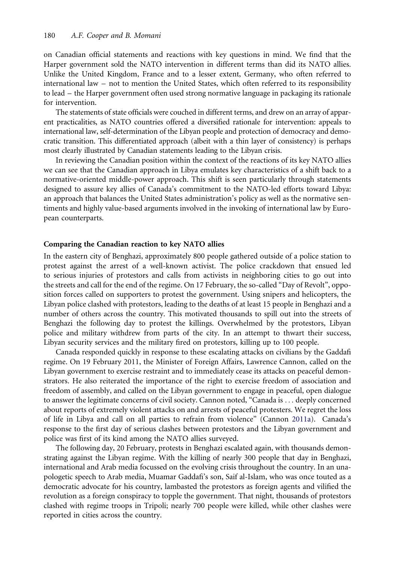on Canadian official statements and reactions with key questions in mind. We find that the Harper government sold the NATO intervention in different terms than did its NATO allies. Unlike the United Kingdom, France and to a lesser extent, Germany, who often referred to international law – not to mention the United States, which often referred to its responsibility to lead – the Harper government often used strong normative language in packaging its rationale for intervention.

The statements of state officials were couched in different terms, and drew on an array of apparent practicalities, as NATO countries offered a diversified rationale for intervention: appeals to international law, self-determination of the Libyan people and protection of democracy and democratic transition. This differentiated approach (albeit with a thin layer of consistency) is perhaps most clearly illustrated by Canadian statements leading to the Libyan crisis.

In reviewing the Canadian position within the context of the reactions of its key NATO allies we can see that the Canadian approach in Libya emulates key characteristics of a shift back to a normative-oriented middle-power approach. This shift is seen particularly through statements designed to assure key allies of Canada's commitment to the NATO-led efforts toward Libya: an approach that balances the United States administration's policy as well as the normative sentiments and highly value-based arguments involved in the invoking of international law by European counterparts.

### Comparing the Canadian reaction to key NATO allies

In the eastern city of Benghazi, approximately 800 people gathered outside of a police station to protest against the arrest of a well-known activist. The police crackdown that ensued led to serious injuries of protestors and calls from activists in neighboring cities to go out into the streets and call for the end of the regime. On 17 February, the so-called "Day of Revolt", opposition forces called on supporters to protest the government. Using snipers and helicopters, the Libyan police clashed with protestors, leading to the deaths of at least 15 people in Benghazi and a number of others across the country. This motivated thousands to spill out into the streets of Benghazi the following day to protest the killings. Overwhelmed by the protestors, Libyan police and military withdrew from parts of the city. In an attempt to thwart their success, Libyan security services and the military fired on protestors, killing up to 100 people.

Canada responded quickly in response to these escalating attacks on civilians by the Gaddafi regime. On 19 February 2011, the Minister of Foreign Affairs, Lawrence Cannon, called on the Libyan government to exercise restraint and to immediately cease its attacks on peaceful demonstrators. He also reiterated the importance of the right to exercise freedom of association and freedom of assembly, and called on the Libyan government to engage in peaceful, open dialogue to answer the legitimate concerns of civil society. Cannon noted, "Canada is ... deeply concerned about reports of extremely violent attacks on and arrests of peaceful protesters. We regret the loss of life in Libya and call on all parties to refrain from violence" (Cannon [2011a](#page-11-0)). Canada's response to the first day of serious clashes between protestors and the Libyan government and police was first of its kind among the NATO allies surveyed.

The following day, 20 February, protests in Benghazi escalated again, with thousands demonstrating against the Libyan regime. With the killing of nearly 300 people that day in Benghazi, international and Arab media focussed on the evolving crisis throughout the country. In an unapologetic speech to Arab media, Muamar Gaddafi's son, Saif al-Islam, who was once touted as a democratic advocate for his country, lambasted the protestors as foreign agents and vilified the revolution as a foreign conspiracy to topple the government. That night, thousands of protestors clashed with regime troops in Tripoli; nearly 700 people were killed, while other clashes were reported in cities across the country.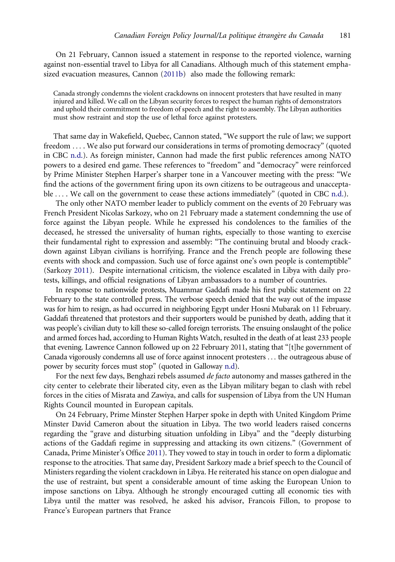On 21 February, Cannon issued a statement in response to the reported violence, warning against non-essential travel to Libya for all Canadians. Although much of this statement emphasized evacuation measures, Cannon [\(2011b\)](#page-11-0) also made the following remark:

Canada strongly condemns the violent crackdowns on innocent protesters that have resulted in many injured and killed. We call on the Libyan security forces to respect the human rights of demonstrators and uphold their commitment to freedom of speech and the right to assembly. The Libyan authorities must show restraint and stop the use of lethal force against protesters.

That same day in Wakefield, Quebec, Cannon stated, "We support the rule of law; we support freedom ... . We also put forward our considerations in terms of promoting democracy" (quoted in CBC [n.d.](#page-11-0)). As foreign minister, Cannon had made the first public references among NATO powers to a desired end game. These references to "freedom" and "democracy" were reinforced by Prime Minister Stephen Harper's sharper tone in a Vancouver meeting with the press: "We find the actions of the government firing upon its own citizens to be outrageous and unacceptable ... . We call on the government to cease these actions immediately" (quoted in CBC [n.d.](#page-11-0)).

The only other NATO member leader to publicly comment on the events of 20 February was French President Nicolas Sarkozy, who on 21 February made a statement condemning the use of force against the Libyan people. While he expressed his condolences to the families of the deceased, he stressed the universality of human rights, especially to those wanting to exercise their fundamental right to expression and assembly: "The continuing brutal and bloody crackdown against Libyan civilians is horrifying. France and the French people are following these events with shock and compassion. Such use of force against one's own people is contemptible" (Sarkozy [2011\)](#page-12-0). Despite international criticism, the violence escalated in Libya with daily protests, killings, and official resignations of Libyan ambassadors to a number of countries.

In response to nationwide protests, Muammar Gaddafi made his first public statement on 22 February to the state controlled press. The verbose speech denied that the way out of the impasse was for him to resign, as had occurred in neighboring Egypt under Hosni Mubarak on 11 February. Gaddafi threatened that protestors and their supporters would be punished by death, adding that it was people's civilian duty to kill these so-called foreign terrorists. The ensuing onslaught of the police and armed forces had, according to Human Rights Watch, resulted in the death of at least 233 people that evening. Lawrence Cannon followed up on 22 February 2011, stating that "[t]he government of Canada vigorously condemns all use of force against innocent protesters ... the outrageous abuse of power by security forces must stop" (quoted in Galloway [n.d](#page-11-0)).

For the next few days, Benghazi rebels assumed de facto autonomy and masses gathered in the city center to celebrate their liberated city, even as the Libyan military began to clash with rebel forces in the cities of Misrata and Zawiya, and calls for suspension of Libya from the UN Human Rights Council mounted in European capitals.

On 24 February, Prime Minster Stephen Harper spoke in depth with United Kingdom Prime Minster David Cameron about the situation in Libya. The two world leaders raised concerns regarding the "grave and disturbing situation unfolding in Libya" and the "deeply disturbing actions of the Gaddafi regime in suppressing and attacking its own citizens." (Government of Canada, Prime Minister's Office [2011\)](#page-11-0). They vowed to stay in touch in order to form a diplomatic response to the atrocities. That same day, President Sarkozy made a brief speech to the Council of Ministers regarding the violent crackdown in Libya. He reiterated his stance on open dialogue and the use of restraint, but spent a considerable amount of time asking the European Union to impose sanctions on Libya. Although he strongly encouraged cutting all economic ties with Libya until the matter was resolved, he asked his advisor, Francois Fillon, to propose to France's European partners that France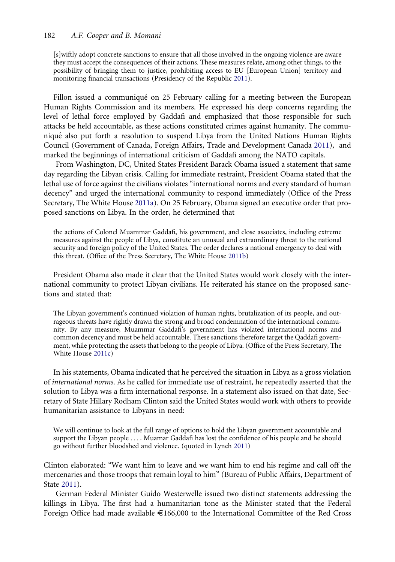[s]wiftly adopt concrete sanctions to ensure that all those involved in the ongoing violence are aware they must accept the consequences of their actions. These measures relate, among other things, to the possibility of bringing them to justice, prohibiting access to EU [European Union] territory and monitoring financial transactions (Presidency of the Republic [2011](#page-12-0)).

Fillon issued a communiqué on 25 February calling for a meeting between the European Human Rights Commission and its members. He expressed his deep concerns regarding the level of lethal force employed by Gaddafi and emphasized that those responsible for such attacks be held accountable, as these actions constituted crimes against humanity. The communique´ also put forth a resolution to suspend Libya from the United Nations Human Rights Council (Government of Canada, Foreign Affairs, Trade and Development Canada [2011\)](#page-11-0), and marked the beginnings of international criticism of Gaddafi among the NATO capitals.

From Washington, DC, United States President Barack Obama issued a statement that same day regarding the Libyan crisis. Calling for immediate restraint, President Obama stated that the lethal use of force against the civilians violates "international norms and every standard of human decency" and urged the international community to respond immediately (Office of the Press Secretary, The White House [2011a\)](#page-12-0). On 25 February, Obama signed an executive order that proposed sanctions on Libya. In the order, he determined that

the actions of Colonel Muammar Gaddafi, his government, and close associates, including extreme measures against the people of Libya, constitute an unusual and extraordinary threat to the national security and foreign policy of the United States. The order declares a national emergency to deal with this threat. (Office of the Press Secretary, The White House [2011b](#page-12-0))

President Obama also made it clear that the United States would work closely with the international community to protect Libyan civilians. He reiterated his stance on the proposed sanctions and stated that:

The Libyan government's continued violation of human rights, brutalization of its people, and outrageous threats have rightly drawn the strong and broad condemnation of the international community. By any measure, Muammar Gaddafi's government has violated international norms and common decency and must be held accountable. These sanctions therefore target the Qaddafi government, while protecting the assets that belong to the people of Libya. (Office of the Press Secretary, The White House [2011c](#page-12-0))

In his statements, Obama indicated that he perceived the situation in Libya as a gross violation of international norms. As he called for immediate use of restraint, he repeatedly asserted that the solution to Libya was a firm international response. In a statement also issued on that date, Secretary of State Hillary Rodham Clinton said the United States would work with others to provide humanitarian assistance to Libyans in need:

We will continue to look at the full range of options to hold the Libyan government accountable and support the Libyan people ... . Muamar Gaddafi has lost the confidence of his people and he should go without further bloodshed and violence. (quoted in Lynch [2011\)](#page-12-0)

Clinton elaborated: "We want him to leave and we want him to end his regime and call off the mercenaries and those troops that remain loyal to him" (Bureau of Public Affairs, Department of State [2011\)](#page-10-0).

German Federal Minister Guido Westerwelle issued two distinct statements addressing the killings in Libya. The first had a humanitarian tone as the Minister stated that the Federal Foreign Office had made available  $\epsilon$ 166,000 to the International Committee of the Red Cross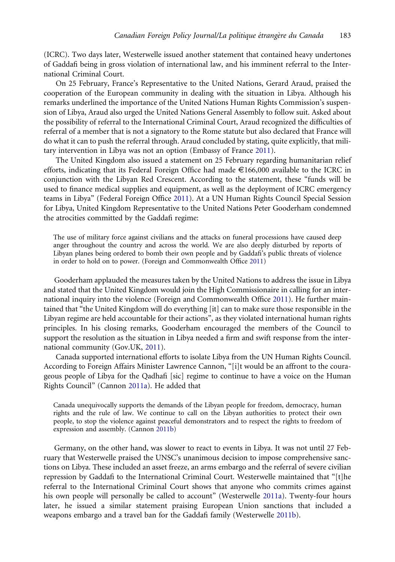(ICRC). Two days later, Westerwelle issued another statement that contained heavy undertones of Gaddafi being in gross violation of international law, and his imminent referral to the International Criminal Court.

On 25 February, France's Representative to the United Nations, Gerard Araud, praised the cooperation of the European community in dealing with the situation in Libya. Although his remarks underlined the importance of the United Nations Human Rights Commission's suspension of Libya, Araud also urged the United Nations General Assembly to follow suit. Asked about the possibility of referral to the International Criminal Court, Araud recognized the difficulties of referral of a member that is not a signatory to the Rome statute but also declared that France will do what it can to push the referral through. Araud concluded by stating, quite explicitly, that military intervention in Libya was not an option (Embassy of France [2011](#page-11-0)).

The United Kingdom also issued a statement on 25 February regarding humanitarian relief efforts, indicating that its Federal Foreign Office had made  $\epsilon$ 166,000 available to the ICRC in conjunction with the Libyan Red Crescent. According to the statement, these "funds will be used to finance medical supplies and equipment, as well as the deployment of ICRC emergency teams in Libya" (Federal Foreign Office [2011](#page-11-0)). At a UN Human Rights Council Special Session for Libya, United Kingdom Representative to the United Nations Peter Gooderham condemned the atrocities committed by the Gaddafi regime:

The use of military force against civilians and the attacks on funeral processions have caused deep anger throughout the country and across the world. We are also deeply disturbed by reports of Libyan planes being ordered to bomb their own people and by Gaddafi's public threats of violence in order to hold on to power. (Foreign and Commonwealth Office [2011](#page-11-0))

Gooderham applauded the measures taken by the United Nations to address the issue in Libya and stated that the United Kingdom would join the High Commissionaire in calling for an international inquiry into the violence (Foreign and Commonwealth Office [2011](#page-11-0)). He further maintained that "the United Kingdom will do everything [it] can to make sure those responsible in the Libyan regime are held accountable for their actions", as they violated international human rights principles. In his closing remarks, Gooderham encouraged the members of the Council to support the resolution as the situation in Libya needed a firm and swift response from the international community (Gov.UK, [2011\)](#page-10-0).

Canada supported international efforts to isolate Libya from the UN Human Rights Council. According to Foreign Affairs Minister Lawrence Cannon, "[i]t would be an affront to the courageous people of Libya for the Qadhafi [sic] regime to continue to have a voice on the Human Rights Council" (Cannon [2011a](#page-11-0)). He added that

Canada unequivocally supports the demands of the Libyan people for freedom, democracy, human rights and the rule of law. We continue to call on the Libyan authorities to protect their own people, to stop the violence against peaceful demonstrators and to respect the rights to freedom of expression and assembly. (Cannon [2011b\)](#page-11-0)

Germany, on the other hand, was slower to react to events in Libya. It was not until 27 February that Westerwelle praised the UNSC's unanimous decision to impose comprehensive sanctions on Libya. These included an asset freeze, an arms embargo and the referral of severe civilian repression by Gaddafi to the International Criminal Court. Westerwelle maintained that "[t]he referral to the International Criminal Court shows that anyone who commits crimes against his own people will personally be called to account" (Westerwelle [2011a](#page-12-0)). Twenty-four hours later, he issued a similar statement praising European Union sanctions that included a weapons embargo and a travel ban for the Gaddafi family (Westerwelle [2011b\)](#page-12-0).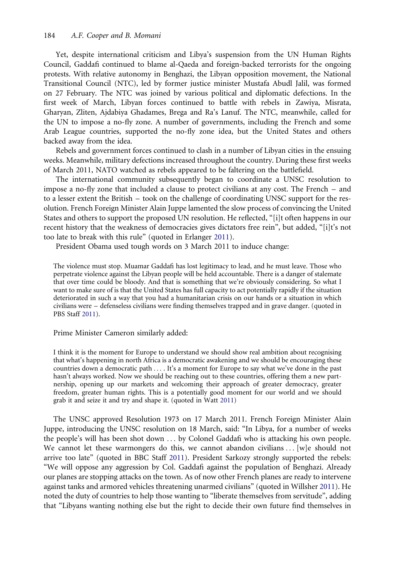Yet, despite international criticism and Libya's suspension from the UN Human Rights Council, Gaddafi continued to blame al-Qaeda and foreign-backed terrorists for the ongoing protests. With relative autonomy in Benghazi, the Libyan opposition movement, the National Transitional Council (NTC), led by former justice minister Mustafa Abudl Jalil, was formed on 27 February. The NTC was joined by various political and diplomatic defections. In the first week of March, Libyan forces continued to battle with rebels in Zawiya, Misrata, Gharyan, Zliten, Ajdabiya Ghadames, Brega and Ra's Lanuf. The NTC, meanwhile, called for the UN to impose a no-fly zone. A number of governments, including the French and some Arab League countries, supported the no-fly zone idea, but the United States and others backed away from the idea.

Rebels and government forces continued to clash in a number of Libyan cities in the ensuing weeks. Meanwhile, military defections increased throughout the country. During these first weeks of March 2011, NATO watched as rebels appeared to be faltering on the battlefield.

The international community subsequently began to coordinate a UNSC resolution to impose a no-fly zone that included a clause to protect civilians at any cost. The French – and to a lesser extent the British – took on the challenge of coordinating UNSC support for the resolution. French Foreign Minister Alain Juppe lamented the slow process of convincing the United States and others to support the proposed UN resolution. He reflected, "[i]t often happens in our recent history that the weakness of democracies gives dictators free rein", but added, "[i]t's not too late to break with this rule" (quoted in Erlanger [2011\)](#page-11-0).

President Obama used tough words on 3 March 2011 to induce change:

The violence must stop. Muamar Gaddafi has lost legitimacy to lead, and he must leave. Those who perpetrate violence against the Libyan people will be held accountable. There is a danger of stalemate that over time could be bloody. And that is something that we're obviously considering. So what I want to make sure of is that the United States has full capacity to act potentially rapidly if the situation deteriorated in such a way that you had a humanitarian crisis on our hands or a situation in which civilians were – defenseless civilians were finding themselves trapped and in grave danger. (quoted in PBS Staff [2011\)](#page-10-0).

#### Prime Minister Cameron similarly added:

I think it is the moment for Europe to understand we should show real ambition about recognising that what's happening in north Africa is a democratic awakening and we should be encouraging these countries down a democratic path ... . It's a moment for Europe to say what we've done in the past hasn't always worked. Now we should be reaching out to these countries, offering them a new partnership, opening up our markets and welcoming their approach of greater democracy, greater freedom, greater human rights. This is a potentially good moment for our world and we should grab it and seize it and try and shape it. (quoted in Watt [2011](#page-12-0))

The UNSC approved Resolution 1973 on 17 March 2011. French Foreign Minister Alain Juppe, introducing the UNSC resolution on 18 March, said: "In Libya, for a number of weeks the people's will has been shot down ... by Colonel Gaddafi who is attacking his own people. We cannot let these warmongers do this, we cannot abandon civilians ... [w]e should not arrive too late" (quoted in BBC Staff [2011\)](#page-10-0). President Sarkozy strongly supported the rebels: "We will oppose any aggression by Col. Gaddafi against the population of Benghazi. Already our planes are stopping attacks on the town. As of now other French planes are ready to intervene against tanks and armored vehicles threatening unarmed civilians" (quoted in Willsher [2011\)](#page-12-0). He noted the duty of countries to help those wanting to "liberate themselves from servitude", adding that "Libyans wanting nothing else but the right to decide their own future find themselves in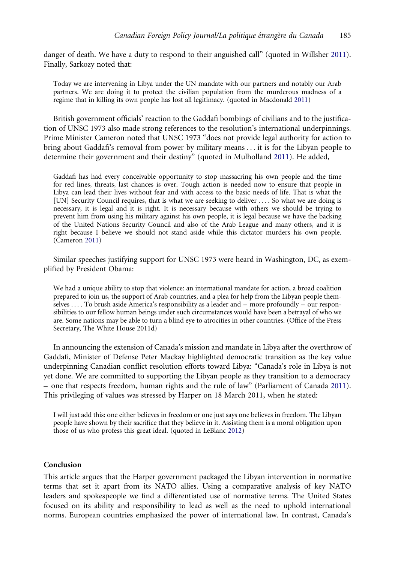danger of death. We have a duty to respond to their anguished call" (quoted in Willsher [2011\)](#page-12-0). Finally, Sarkozy noted that:

Today we are intervening in Libya under the UN mandate with our partners and notably our Arab partners. We are doing it to protect the civilian population from the murderous madness of a regime that in killing its own people has lost all legitimacy. (quoted in Macdonald [2011\)](#page-12-0)

British government officials' reaction to the Gaddafi bombings of civilians and to the justification of UNSC 1973 also made strong references to the resolution's international underpinnings. Prime Minister Cameron noted that UNSC 1973 "does not provide legal authority for action to bring about Gaddafi's removal from power by military means ... it is for the Libyan people to determine their government and their destiny" (quoted in Mulholland [2011](#page-12-0)). He added,

Gaddafi has had every conceivable opportunity to stop massacring his own people and the time for red lines, threats, last chances is over. Tough action is needed now to ensure that people in Libya can lead their lives without fear and with access to the basic needs of life. That is what the [UN] Security Council requires, that is what we are seeking to deliver ... . So what we are doing is necessary, it is legal and it is right. It is necessary because with others we should be trying to prevent him from using his military against his own people, it is legal because we have the backing of the United Nations Security Council and also of the Arab League and many others, and it is right because I believe we should not stand aside while this dictator murders his own people. (Cameron [2011](#page-10-0))

Similar speeches justifying support for UNSC 1973 were heard in Washington, DC, as exemplified by President Obama:

We had a unique ability to stop that violence: an international mandate for action, a broad coalition prepared to join us, the support of Arab countries, and a plea for help from the Libyan people themselves ... . To brush aside America's responsibility as a leader and – more profoundly – our responsibilities to our fellow human beings under such circumstances would have been a betrayal of who we are. Some nations may be able to turn a blind eye to atrocities in other countries. (Office of the Press Secretary, The White House 2011d)

In announcing the extension of Canada's mission and mandate in Libya after the overthrow of Gaddafi, Minister of Defense Peter Mackay highlighted democratic transition as the key value underpinning Canadian conflict resolution efforts toward Libya: "Canada's role in Libya is not yet done. We are committed to supporting the Libyan people as they transition to a democracy – one that respects freedom, human rights and the rule of law" (Parliament of Canada [2011\)](#page-12-0). This privileging of values was stressed by Harper on 18 March 2011, when he stated:

I will just add this: one either believes in freedom or one just says one believes in freedom. The Libyan people have shown by their sacrifice that they believe in it. Assisting them is a moral obligation upon those of us who profess this great ideal. (quoted in LeBlanc [2012](#page-12-0))

## Conclusion

This article argues that the Harper government packaged the Libyan intervention in normative terms that set it apart from its NATO allies. Using a comparative analysis of key NATO leaders and spokespeople we find a differentiated use of normative terms. The United States focused on its ability and responsibility to lead as well as the need to uphold international norms. European countries emphasized the power of international law. In contrast, Canada's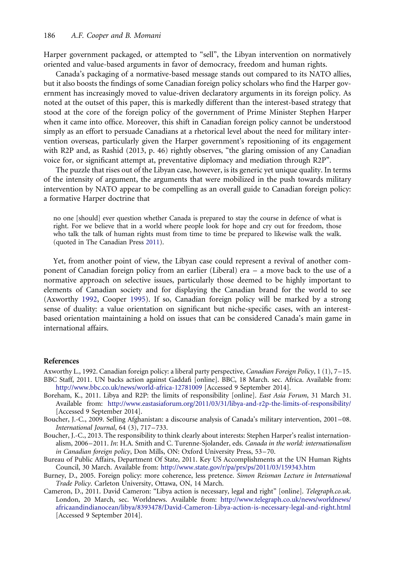<span id="page-10-0"></span>Harper government packaged, or attempted to "sell", the Libyan intervention on normatively oriented and value-based arguments in favor of democracy, freedom and human rights.

Canada's packaging of a normative-based message stands out compared to its NATO allies, but it also boosts the findings of some Canadian foreign policy scholars who find the Harper government has increasingly moved to value-driven declaratory arguments in its foreign policy. As noted at the outset of this paper, this is markedly different than the interest-based strategy that stood at the core of the foreign policy of the government of Prime Minister Stephen Harper when it came into office. Moreover, this shift in Canadian foreign policy cannot be understood simply as an effort to persuade Canadians at a rhetorical level about the need for military intervention overseas, particularly given the Harper government's repositioning of its engagement with R2P and, as Rashid (2013, p. 46) rightly observes, "the glaring omission of any Canadian voice for, or significant attempt at, preventative diplomacy and mediation through R2P".

The puzzle that rises out of the Libyan case, however, is its generic yet unique quality. In terms of the intensity of argument, the arguments that were mobilized in the push towards military intervention by NATO appear to be compelling as an overall guide to Canadian foreign policy: a formative Harper doctrine that

no one [should] ever question whether Canada is prepared to stay the course in defence of what is right. For we believe that in a world where people look for hope and cry out for freedom, those who talk the talk of human rights must from time to time be prepared to likewise walk the walk. (quoted in The Canadian Press [2011](#page-11-0)).

Yet, from another point of view, the Libyan case could represent a revival of another component of Canadian foreign policy from an earlier (Liberal) era – a move back to the use of a normative approach on selective issues, particularly those deemed to be highly important to elements of Canadian society and for displaying the Canadian brand for the world to see (Axworthy 1992, Cooper [1995\)](#page-11-0). If so, Canadian foreign policy will be marked by a strong sense of duality: a value orientation on significant but niche-specific cases, with an interestbased orientation maintaining a hold on issues that can be considered Canada's main game in international affairs.

## References

- Axworthy L., 1992. Canadian foreign policy: a liberal party perspective, Canadian Foreign Policy, 1 (1), 7 –15. BBC Staff, 2011. UN backs action against Gaddafi [online]. BBC, 18 March. sec. Africa. Available from: <http://www.bbc.co.uk/news/world-africa-12781009> [Accessed 9 September 2014].
- Boreham, K., 2011. Libya and R2P: the limits of responsibility [online]. East Asia Forum, 31 March 31. Available from: <http://www.eastasiaforum.org/2011/03/31/libya-and-r2p-the-limits-of-responsibility/> [Accessed 9 September 2014].
- Boucher, J.-C., 2009. Selling Afghanistan: a discourse analysis of Canada's military intervention, 2001–08. International Journal, 64 (3), 717 –733.
- Boucher, J.-C., 2013. The responsibility to think clearly about interests: Stephen Harper's realist internationalism, 2006–2011. In: H.A. Smith and C. Turenne-Sjolander, eds. Canada in the world: internationalism in Canadian foreign policy, Don Mills, ON: Oxford University Press, 53 –70.
- Bureau of Public Affairs, Department Of State, 2011. Key US Accomplishments at the UN Human Rights Council, 30 March. Available from: <http://www.state.gov/r/pa/prs/ps/2011/03/159343.htm>
- Burney, D., 2005. Foreign policy: more coherence, less pretence. Simon Reisman Lecture in International Trade Policy. Carleton University, Ottawa, ON, 14 March.
- Cameron, D., 2011. David Cameron: "Libya action is necessary, legal and right" [online]. Telegraph.co.uk. London, 20 March, sec. Worldnews. Available from: [http://www.telegraph.co.uk/news/worldnews/](http://www.telegraph.co.uk/news/worldnews/africaandindianocean/libya/8393478/David-Cameron-Libya-action-is-necessary-legal-and-right.html) [africaandindianocean/libya/8393478/David-Cameron-Libya-action-is-necessary-legal-and-right.html](http://www.telegraph.co.uk/news/worldnews/africaandindianocean/libya/8393478/David-Cameron-Libya-action-is-necessary-legal-and-right.html) [Accessed 9 September 2014].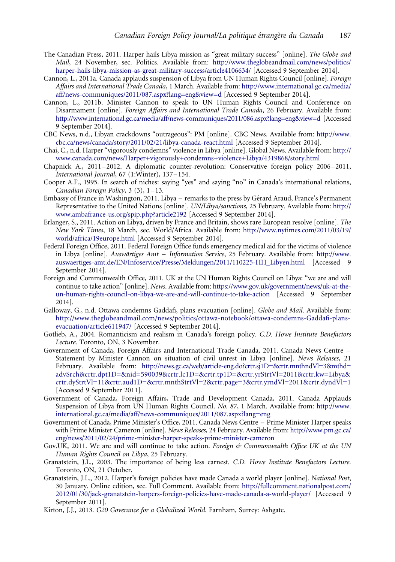- <span id="page-11-0"></span>The Canadian Press, 2011. Harper hails Libya mission as "great military success" [online]. The Globe and Mail, 24 November, sec. Politics. Available from: [http://www.theglobeandmail.com/news/politics/](http://www.theglobeandmail.com/news/politics/harper-hails-libya-mission-as-great-military-success/article4106634/) [harper-hails-libya-mission-as-great-military-success/article4106634/](http://www.theglobeandmail.com/news/politics/harper-hails-libya-mission-as-great-military-success/article4106634/) [Accessed 9 September 2014].
- Cannon, L., 2011a. Canada applauds suspension of Libya from UN Human Rights Council [online]. Foreign Affairs and International Trade Canada, 1 March. Available from: [http://www.international.gc.ca/media/](http://www.international.gc.ca/media/aff/news-communiques/2011/087.aspx?lang=eng&view=d) [aff/news-communiques/2011/087.aspx?lang=eng&view=d](http://www.international.gc.ca/media/aff/news-communiques/2011/087.aspx?lang=eng&view=d) [Accessed 9 September 2014].
- Cannon, L., 2011b. Minister Cannon to speak to UN Human Rights Council and Conference on Disarmament [online]. Foreign Affairs and International Trade Canada, 26 February. Available from: <http://www.international.gc.ca/media/aff/news-communiques/2011/086.aspx?lang=eng&view=d> [Accessed 9 September 2014].
- CBC News, n.d., Libyan crackdowns "outrageous": PM [online]. CBC News. Available from: [http://www.](http://www.cbc.ca/news/canada/story/2011/02/21/libya-canada-react.html) [cbc.ca/news/canada/story/2011/02/21/libya-canada-react.html](http://www.cbc.ca/news/canada/story/2011/02/21/libya-canada-react.html) [Accessed 9 September 2014].
- Chai, C., n.d. Harper "vigorously condemns" violence in Libya [online]. Global News. Available from: [http://](http://www.canada.com/news/Harper+vigorously+condemns+violence+Libya/4319868/story.html) [www.canada.com/news/Harper+vigorously+condemns+violence+Libya/4319868/story.html](http://www.canada.com/news/Harper+vigorously+condemns+violence+Libya/4319868/story.html)
- Chapnick A., 2011–2012. A diplomatic counter-revolution: Conservative foreign policy 2006–2011, International Journal, 67 (1:Winter), 137 –154.
- Cooper A.F., 1995. In search of niches: saying "yes" and saying "no" in Canada's international relations, Canadian Foreign Policy,  $3(3)$ ,  $1-13$ .
- Embassy of France in Washington, 2011. Libya remarks to the press by Gérard Araud, France's Permanent Representative to the United Nations [online]. UN/Libya/sanctions, 25 February. Available from: [http://](http://www.ambafrance-us.org/spip.php?article2192) [www.ambafrance-us.org/spip.php?article2192](http://www.ambafrance-us.org/spip.php?article2192) [Accessed 9 September 2014].
- Erlanger, S., 2011. Action on Libya, driven by France and Britain, shows rare European resolve [online]. The New York Times, 18 March, sec. World/Africa. Available from: [http://www.nytimes.com/2011/03/19/](http://www.nytimes.com/2011/03/19/world/africa/19europe.html) [world/africa/19europe.html](http://www.nytimes.com/2011/03/19/world/africa/19europe.html) [Accessed 9 September 2014].
- Federal Foreign Office, 2011. Federal Foreign Office funds emergency medical aid for the victims of violence in Libya [online]. Auswärtiges Amt – Information Service, 25 February. Available from: [http://www.](http://www.auswaertiges-amt.de/EN/Infoservice/Presse/Meldungen/2011/110225-HH_Libyen.html) [auswaertiges-amt.de/EN/Infoservice/Presse/Meldungen/2011/110225-HH\\_Libyen.html](http://www.auswaertiges-amt.de/EN/Infoservice/Presse/Meldungen/2011/110225-HH_Libyen.html) [Accessed 9 September 2014].
- Foreign and Commonwealth Office, 2011. UK at the UN Human Rights Council on Libya: "we are and will continue to take action" [online]. News. Available from: [https://www.gov.uk/government/news/uk-at-the](https://www.gov.uk/government/news/uk-at-the-un-human-rights-council-on-libya-we-are-and-will-continue-to-take-action)[un-human-rights-council-on-libya-we-are-and-will-continue-to-take-action](https://www.gov.uk/government/news/uk-at-the-un-human-rights-council-on-libya-we-are-and-will-continue-to-take-action) [Accessed 9 September 2014].
- Galloway, G., n.d. Ottawa condemns Gaddafi, plans evacuation [online]. Globe and Mail. Available from: [http://www.theglobeandmail.com/news/politics/ottawa-notebook/ottawa-condemns-Gaddafi-plans](http://www.theglobeandmail.com/news/politics/ottawa-notebook/ottawa-condemns-Gaddafi-plans-evacuation/article611947/)[evacuation/article611947/](http://www.theglobeandmail.com/news/politics/ottawa-notebook/ottawa-condemns-Gaddafi-plans-evacuation/article611947/) [Accessed 9 September 2014].
- Gotlieb, A., 2004. Romanticism and realism in Canada's foreign policy. C.D. Howe Institute Benefactors Lecture. Toronto, ON, 3 November.
- Government of Canada, Foreign Affairs and International Trade Canada, 2011. Canada News Centre Statement by Minister Cannon on situation of civil unrest in Libya [online]. News Releases, 21 February. Available from: [http://news.gc.ca/web/article-eng.do?crtr.sj1D=&crtr.mnthndVl=3&mthd=](http://news.gc.ca/web/article-eng.do?crtr.sj1D=&crtr.mnthndVl=3&mthd=advSrch&crtr.dpt1D=&nid=590039&crtr.lc1D=&crtr.tp1D=&crtr.yrStrtVl=2011&crtr.kw=Libya&crtr.dyStrtVl=11&crtr.aud1D=&crtr.mnthStrtVl=2&crtr.page=3&crtr.yrndVl=2011&crtr.dyndVl=1) [advSrch&crtr.dpt1D=&nid=590039&crtr.lc1D=&crtr.tp1D=&crtr.yrStrtVl=2011&crtr.kw=Libya&](http://news.gc.ca/web/article-eng.do?crtr.sj1D=&crtr.mnthndVl=3&mthd=advSrch&crtr.dpt1D=&nid=590039&crtr.lc1D=&crtr.tp1D=&crtr.yrStrtVl=2011&crtr.kw=Libya&crtr.dyStrtVl=11&crtr.aud1D=&crtr.mnthStrtVl=2&crtr.page=3&crtr.yrndVl=2011&crtr.dyndVl=1) [crtr.dyStrtVl=11&crtr.aud1D=&crtr.mnthStrtVl=2&crtr.page=3&crtr.yrndVl=2011&crtr.dyndVl=1](http://news.gc.ca/web/article-eng.do?crtr.sj1D=&crtr.mnthndVl=3&mthd=advSrch&crtr.dpt1D=&nid=590039&crtr.lc1D=&crtr.tp1D=&crtr.yrStrtVl=2011&crtr.kw=Libya&crtr.dyStrtVl=11&crtr.aud1D=&crtr.mnthStrtVl=2&crtr.page=3&crtr.yrndVl=2011&crtr.dyndVl=1) [Accessed 9 September 2011].
- Government of Canada, Foreign Affairs, Trade and Development Canada, 2011. Canada Applauds Suspension of Libya from UN Human Rights Council. No. 87, 1 March. Available from: [http://www.](http://www.international.gc.ca/media/aff/news-communiques/2011/087.aspx?lang=eng) [international.gc.ca/media/aff/news-communiques/2011/087.aspx?lang=eng](http://www.international.gc.ca/media/aff/news-communiques/2011/087.aspx?lang=eng)
- Government of Canada, Prime Minister's Office, 2011. Canada News Centre Prime Minister Harper speaks with Prime Minister Cameron [online]. News Releases, 24 February. Available from: [http://www.pm.gc.ca/](http://www.pm.gc.ca/eng/news/2011/02/24/prime-minister-harper-speaks-prime-minister-cameron) [eng/news/2011/02/24/prime-minister-harper-speaks-prime-minister-cameron](http://www.pm.gc.ca/eng/news/2011/02/24/prime-minister-harper-speaks-prime-minister-cameron)
- Gov.UK, 2011. We are and will continue to take action. Foreign  $\&$  Commonwealth Office UK at the UN Human Rights Council on Libya, 25 February.
- Granatstein, J.L., 2003. The importance of being less earnest. C.D. Howe Institute Benefactors Lecture. Toronto, ON, 21 October.
- Granatstein, J.L., 2012. Harper's foreign policies have made Canada a world player [online]. National Post, 30 January. Online edition, sec. Full Comment. Available from: [http://fullcomment.nationalpost.com/](http://fullcomment.nationalpost.com/2012/01/30/jack-granatstein-harpers-foreign-policies-have-made-canada-a-world-player/) [2012/01/30/jack-granatstein-harpers-foreign-policies-have-made-canada-a-world-player/](http://fullcomment.nationalpost.com/2012/01/30/jack-granatstein-harpers-foreign-policies-have-made-canada-a-world-player/) [Accessed 9 September 2011].
- Kirton, J.J., 2013. G20 Goverance for a Globalized World. Farnham, Surrey: Ashgate.